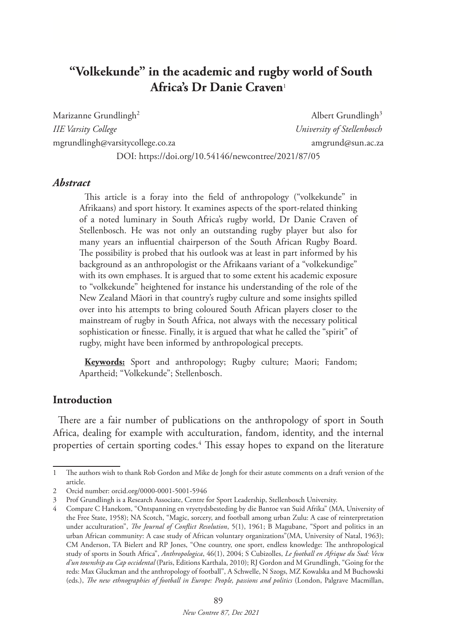# **"Volkekunde" in the academic and rugby world of South Africa's Dr Danie Craven**<sup>1</sup>

Marizanne Grundlingh<sup>2</sup> *IIE Varsity College University of Stellenbosch* mgrundlingh@varsitycollege.co.za amgrund@sun.ac.za DOI: https://doi.org/10.54146/newcontree/2021/87/05

Albert Grundlingh<sup>3</sup>

#### *Abstract*

This article is a foray into the field of anthropology ("volkekunde" in Afrikaans) and sport history. It examines aspects of the sport-related thinking of a noted luminary in South Africa's rugby world, Dr Danie Craven of Stellenbosch. He was not only an outstanding rugby player but also for many years an influential chairperson of the South African Rugby Board. The possibility is probed that his outlook was at least in part informed by his background as an anthropologist or the Afrikaans variant of a "volkekundige" with its own emphases. It is argued that to some extent his academic exposure to "volkekunde" heightened for instance his understanding of the role of the New Zealand Māori in that country's rugby culture and some insights spilled over into his attempts to bring coloured South African players closer to the mainstream of rugby in South Africa, not always with the necessary political sophistication or finesse. Finally, it is argued that what he called the "spirit" of rugby, might have been informed by anthropological precepts.

**Keywords:** Sport and anthropology; Rugby culture; Maori; Fandom; Apartheid; "Volkekunde"; Stellenbosch.

#### **Introduction**

There are a fair number of publications on the anthropology of sport in South Africa, dealing for example with acculturation, fandom, identity, and the internal properties of certain sporting codes.4 This essay hopes to expand on the literature

<sup>1</sup> The authors wish to thank Rob Gordon and Mike de Jongh for their astute comments on a draft version of the article.

<sup>2</sup> Orcid number: orcid.org/0000-0001-5001-5946

<sup>3</sup> Prof Grundlingh is a Research Associate, Centre for Sport Leadership, Stellenbosch University.

<sup>4</sup> Compare C Hanekom, "Ontspanning en vryetydsbesteding by die Bantoe van Suid Afrika" (MA, University of the Free State, 1958); NA Scotch, "Magic, sorcery, and football among urban Zulu: A case of reinterpretation under acculturation", *The Journal of Conflict Resolution*, 5(1), 1961; B Magubane, "Sport and politics in an urban African community: A case study of African voluntary organizations"(MA, University of Natal, 1963); CM Anderson, TA Bielert and RP Jones, "One country, one sport, endless knowledge: The anthropological study of sports in South Africa", *Anthropologica*, 46(1), 2004; S Cubizolles, *Le football en Afrique du Sud: Vecu d'un township au Cap occidental* (Paris, Editions Karthala, 2010); RJ Gordon and M Grundlingh, "Going for the reds: Max Gluckman and the anthropology of football", A Schwelle, N Szogs, MZ Kowalska and M Buchowski (eds.), *The new ethnographies of football in Europe: People, passions and politics* (London, Palgrave Macmillan,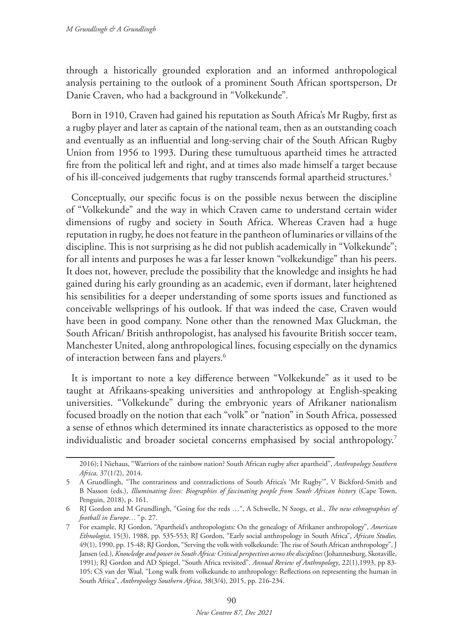through a historically grounded exploration and an informed anthropological analysis pertaining to the outlook of a prominent South African sportsperson, Dr Danie Craven, who had a background in "Volkekunde"*.*

Born in 1910, Craven had gained his reputation as South Africa's Mr Rugby, first as a rugby player and later as captain of the national team, then as an outstanding coach and eventually as an influential and long-serving chair of the South African Rugby Union from 1956 to 1993. During these tumultuous apartheid times he attracted fire from the political left and right, and at times also made himself a target because of his ill-conceived judgements that rugby transcends formal apartheid structures.<sup>5</sup>

Conceptually, our specific focus is on the possible nexus between the discipline of "Volkekunde" and the way in which Craven came to understand certain wider dimensions of rugby and society in South Africa. Whereas Craven had a huge reputation in rugby, he does not feature in the pantheon of luminaries or villains of the discipline. This is not surprising as he did not publish academically in "Volkekunde"; for all intents and purposes he was a far lesser known "volkekundige" than his peers. It does not, however, preclude the possibility that the knowledge and insights he had gained during his early grounding as an academic, even if dormant, later heightened his sensibilities for a deeper understanding of some sports issues and functioned as conceivable wellsprings of his outlook. If that was indeed the case, Craven would have been in good company. None other than the renowned Max Gluckman, the South African/ British anthropologist, has analysed his favourite British soccer team, Manchester United, along anthropological lines, focusing especially on the dynamics of interaction between fans and players.<sup>6</sup>

It is important to note a key difference between "Volkekunde" as it used to be taught at Afrikaans-speaking universities and anthropology at English-speaking universities. "Volkekunde" during the embryonic years of Afrikaner nationalism focused broadly on the notion that each "volk" or "nation" in South Africa, possessed a sense of ethnos which determined its innate characteristics as opposed to the more individualistic and broader societal concerns emphasised by social anthropology.7

<sup>2016);</sup> I Niehaus, "Warriors of the rainbow nation? South African rugby after apartheid", *Anthropology Southern Africa,* 37(1/2), 2014.

<sup>5</sup> A Grundlingh, "The contrariness and contradictions of South Africa's 'Mr Rugby'", V Bickford-Smith and B Nasson (eds.), *Illuminating lives: Biographies of fascinating people from South African history* (Cape Town, Penguin, 2018), p. 161.

<sup>6</sup> RJ Gordon and M Grundlingh, "Going for the reds …", A Schwelle, N Szogs, et al., *The new ethnographies of football in Europe…"* p. 27.

<sup>7</sup> For example, RJ Gordon, "Apartheid's anthropologists: On the genealogy of Afrikaner anthropology", *American Ethnologist*, 15(3), 1988, pp. 535-553; RJ Gordon, "Early social anthropology in South Africa", *African Studies,* 49(1), 1990, pp. 15-48; RJ Gordon, "Serving the volk with volkekunde: The rise of South African anthropology", J Jansen (ed.), *Knowledge and power in South Africa: Critical perspectives across the disciplines* (Johannesburg, Skotaville, 1991); RJ Gordon and AD Spiegel, "South Africa revisited", *Annual Review of Anthropology*, 22(1),1993, pp 83- 105; CS van der Waal, "Long walk from volkekunde to anthropology: Reflections on representing the human in South Africa", *Anthropology Southern Africa*, 38(3/4), 2015, pp. 216-234.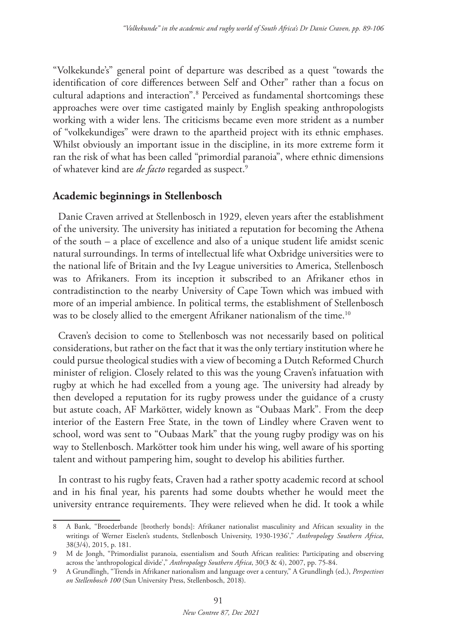"Volkekunde's" general point of departure was described as a quest "towards the identification of core differences between Self and Other" rather than a focus on cultural adaptions and interaction".8 Perceived as fundamental shortcomings these approaches were over time castigated mainly by English speaking anthropologists working with a wider lens. The criticisms became even more strident as a number of "volkekundiges" were drawn to the apartheid project with its ethnic emphases. Whilst obviously an important issue in the discipline, in its more extreme form it ran the risk of what has been called "primordial paranoia", where ethnic dimensions of whatever kind are *de facto* regarded as suspect.9

## **Academic beginnings in Stellenbosch**

Danie Craven arrived at Stellenbosch in 1929, eleven years after the establishment of the university. The university has initiated a reputation for becoming the Athena of the south – a place of excellence and also of a unique student life amidst scenic natural surroundings. In terms of intellectual life what Oxbridge universities were to the national life of Britain and the Ivy League universities to America, Stellenbosch was to Afrikaners. From its inception it subscribed to an Afrikaner ethos in contradistinction to the nearby University of Cape Town which was imbued with more of an imperial ambience. In political terms, the establishment of Stellenbosch was to be closely allied to the emergent Afrikaner nationalism of the time.<sup>10</sup>

Craven's decision to come to Stellenbosch was not necessarily based on political considerations, but rather on the fact that it was the only tertiary institution where he could pursue theological studies with a view of becoming a Dutch Reformed Church minister of religion. Closely related to this was the young Craven's infatuation with rugby at which he had excelled from a young age. The university had already by then developed a reputation for its rugby prowess under the guidance of a crusty but astute coach, AF Markötter, widely known as "Oubaas Mark". From the deep interior of the Eastern Free State, in the town of Lindley where Craven went to school, word was sent to "Oubaas Mark" that the young rugby prodigy was on his way to Stellenbosch. Markötter took him under his wing, well aware of his sporting talent and without pampering him, sought to develop his abilities further.

In contrast to his rugby feats, Craven had a rather spotty academic record at school and in his final year, his parents had some doubts whether he would meet the university entrance requirements. They were relieved when he did. It took a while

<sup>8</sup> A Bank, "Broederbande [brotherly bonds]: Afrikaner nationalist masculinity and African sexuality in the writings of Werner Eiselen's students, Stellenbosch University, 1930-1936'," *Anthropology Southern Africa*, 38(3/4), 2015, p. 181.

<sup>9</sup> M de Jongh, "Primordialist paranoia, essentialism and South African realities: Participating and observing across the 'anthropological divide'," *Anthropology Southern Africa*, 30(3 & 4), 2007, pp. 75-84.

<sup>9</sup> A Grundlingh, "Trends in Afrikaner nationalism and language over a century," A Grundlingh (ed.), *Perspectives on Stellenbosch 100* (Sun University Press, Stellenbosch, 2018).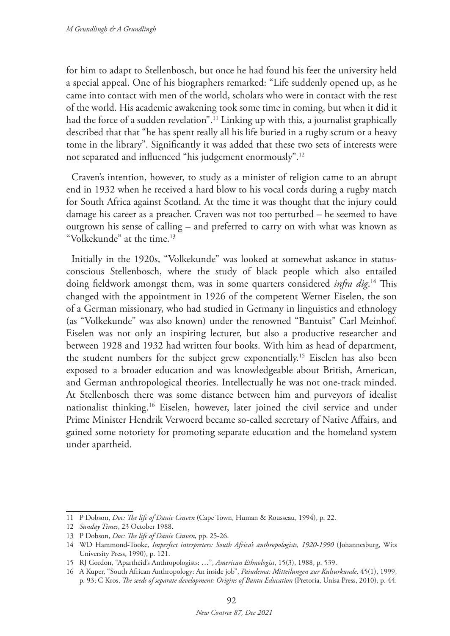for him to adapt to Stellenbosch, but once he had found his feet the university held a special appeal. One of his biographers remarked: "Life suddenly opened up, as he came into contact with men of the world, scholars who were in contact with the rest of the world. His academic awakening took some time in coming, but when it did it had the force of a sudden revelation".<sup>11</sup> Linking up with this, a journalist graphically described that that "he has spent really all his life buried in a rugby scrum or a heavy tome in the library". Significantly it was added that these two sets of interests were not separated and influenced "his judgement enormously".12

Craven's intention, however, to study as a minister of religion came to an abrupt end in 1932 when he received a hard blow to his vocal cords during a rugby match for South Africa against Scotland. At the time it was thought that the injury could damage his career as a preacher. Craven was not too perturbed – he seemed to have outgrown his sense of calling – and preferred to carry on with what was known as "Volkekunde" at the time.13

Initially in the 1920s, "Volkekunde" was looked at somewhat askance in statusconscious Stellenbosch, where the study of black people which also entailed doing fieldwork amongst them, was in some quarters considered *infra dig*. 14 This changed with the appointment in 1926 of the competent Werner Eiselen, the son of a German missionary, who had studied in Germany in linguistics and ethnology (as "Volkekunde" was also known) under the renowned "Bantuist" Carl Meinhof. Eiselen was not only an inspiring lecturer, but also a productive researcher and between 1928 and 1932 had written four books. With him as head of department, the student numbers for the subject grew exponentially.15 Eiselen has also been exposed to a broader education and was knowledgeable about British, American, and German anthropological theories. Intellectually he was not one-track minded. At Stellenbosch there was some distance between him and purveyors of idealist nationalist thinking.16 Eiselen, however, later joined the civil service and under Prime Minister Hendrik Verwoerd became so-called secretary of Native Affairs, and gained some notoriety for promoting separate education and the homeland system under apartheid.

<sup>11</sup> P Dobson, *Doc: The life of Danie Craven* (Cape Town, Human & Rousseau, 1994), p. 22.

<sup>12</sup> *Sunday Times*, 23 October 1988.

<sup>13</sup> P Dobson, *Doc: The life of Danie Craven,* pp. 25-26.

<sup>14</sup> WD Hammond-Tooke, *Imperfect interpreters: South Africa's anthropologists, 1920-1990* (Johannesburg, Wits University Press, 1990), p. 121.

<sup>15</sup> RJ Gordon, "Apartheid's Anthropologists: …", *American Ethnologist*, 15(3), 1988, p. 539.

<sup>16</sup> A Kuper, "South African Anthropology: An inside job", *Paiudema: Mitteilungen zur Kulturkunde,* 45(1), 1999, p. 93; C Kros, *The seeds of separate development: Origins of Bantu Education* (Pretoria, Unisa Press, 2010), p. 44.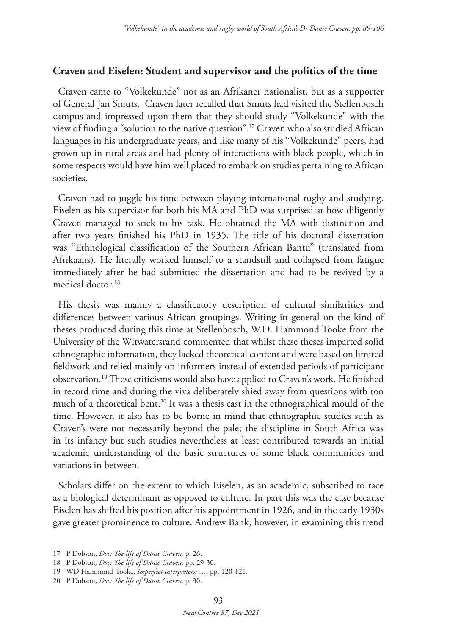### **Craven and Eiselen: Student and supervisor and the politics of the time**

Craven came to "Volkekunde" not as an Afrikaner nationalist, but as a supporter of General Jan Smuts. Craven later recalled that Smuts had visited the Stellenbosch campus and impressed upon them that they should study "Volkekunde" with the view of finding a "solution to the native question".17 Craven who also studied African languages in his undergraduate years, and like many of his "Volkekunde" peers, had grown up in rural areas and had plenty of interactions with black people, which in some respects would have him well placed to embark on studies pertaining to African societies.

Craven had to juggle his time between playing international rugby and studying. Eiselen as his supervisor for both his MA and PhD was surprised at how diligently Craven managed to stick to his task. He obtained the MA with distinction and after two years finished his PhD in 1935. The title of his doctoral dissertation was "Ethnological classification of the Southern African Bantu" (translated from Afrikaans). He literally worked himself to a standstill and collapsed from fatigue immediately after he had submitted the dissertation and had to be revived by a medical doctor.<sup>18</sup>

His thesis was mainly a classificatory description of cultural similarities and differences between various African groupings. Writing in general on the kind of theses produced during this time at Stellenbosch, W.D. Hammond Tooke from the University of the Witwatersrand commented that whilst these theses imparted solid ethnographic information, they lacked theoretical content and were based on limited fieldwork and relied mainly on informers instead of extended periods of participant observation.19 These criticisms would also have applied to Craven's work. He finished in record time and during the viva deliberately shied away from questions with too much of a theoretical bent.<sup>20</sup> It was a thesis cast in the ethnographical mould of the time. However, it also has to be borne in mind that ethnographic studies such as Craven's were not necessarily beyond the pale; the discipline in South Africa was in its infancy but such studies nevertheless at least contributed towards an initial academic understanding of the basic structures of some black communities and variations in between.

Scholars differ on the extent to which Eiselen, as an academic, subscribed to race as a biological determinant as opposed to culture. In part this was the case because Eiselen has shifted his position after his appointment in 1926, and in the early 1930s gave greater prominence to culture. Andrew Bank, however, in examining this trend

<sup>17</sup> P Dobson, *Doc: The life of Danie Craven,* p. 26.

<sup>18</sup> P Dobson*, Doc: The life of Danie Craven,* pp. 29-30.

<sup>19</sup> WD Hammond-Tooke, *Imperfect interpreters:* …, pp. 120-121.

<sup>20</sup> P Dobson, *Doc: The life of Danie Craven,* p. 30.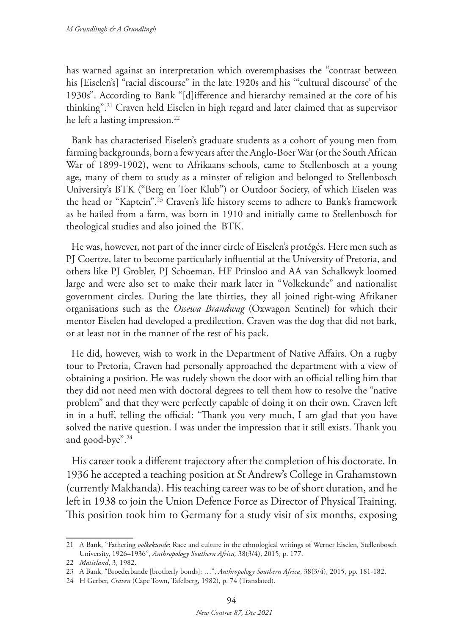has warned against an interpretation which overemphasises the "contrast between his [Eiselen's] "racial discourse" in the late 1920s and his '"cultural discourse' of the 1930s". According to Bank "[d]ifference and hierarchy remained at the core of his thinking".21 Craven held Eiselen in high regard and later claimed that as supervisor he left a lasting impression.<sup>22</sup>

Bank has characterised Eiselen's graduate students as a cohort of young men from farming backgrounds, born a few years after the Anglo-Boer War (or the South African War of 1899-1902), went to Afrikaans schools, came to Stellenbosch at a young age, many of them to study as a minster of religion and belonged to Stellenbosch University's BTK ("Berg en Toer Klub") or Outdoor Society, of which Eiselen was the head or "Kaptein".23 Craven's life history seems to adhere to Bank's framework as he hailed from a farm, was born in 1910 and initially came to Stellenbosch for theological studies and also joined the BTK.

He was, however, not part of the inner circle of Eiselen's protégés. Here men such as PJ Coertze, later to become particularly influential at the University of Pretoria, and others like PJ Grobler, PJ Schoeman, HF Prinsloo and AA van Schalkwyk loomed large and were also set to make their mark later in "Volkekunde" and nationalist government circles. During the late thirties, they all joined right-wing Afrikaner organisations such as the *Ossewa Brandwag* (Oxwagon Sentinel) for which their mentor Eiselen had developed a predilection. Craven was the dog that did not bark, or at least not in the manner of the rest of his pack.

He did, however, wish to work in the Department of Native Affairs. On a rugby tour to Pretoria, Craven had personally approached the department with a view of obtaining a position. He was rudely shown the door with an official telling him that they did not need men with doctoral degrees to tell them how to resolve the "native problem" and that they were perfectly capable of doing it on their own. Craven left in in a huff, telling the official: "Thank you very much, I am glad that you have solved the native question. I was under the impression that it still exists. Thank you and good-bye".24

His career took a different trajectory after the completion of his doctorate. In 1936 he accepted a teaching position at St Andrew's College in Grahamstown (currently Makhanda). His teaching career was to be of short duration, and he left in 1938 to join the Union Defence Force as Director of Physical Training. This position took him to Germany for a study visit of six months, exposing

<sup>21</sup> A Bank, "Fathering *volkekunde*: Race and culture in the ethnological writings of Werner Eiselen, Stellenbosch University, 1926–1936", *Anthropology Southern Africa,* 38(3/4), 2015, p. 177.

<sup>22</sup> *Matieland*, 3, 1982.

<sup>23</sup> A Bank, "Broederbande [brotherly bonds]: …", *Anthropology Southern Africa*, 38(3/4), 2015, pp. 181-182.

<sup>24</sup> H Gerber, *Craven* (Cape Town, Tafelberg, 1982), p. 74 (Translated).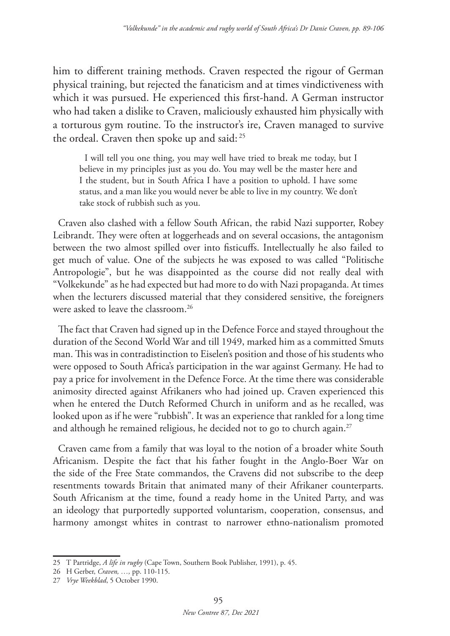him to different training methods. Craven respected the rigour of German physical training, but rejected the fanaticism and at times vindictiveness with which it was pursued. He experienced this first-hand. A German instructor who had taken a dislike to Craven, maliciously exhausted him physically with a torturous gym routine. To the instructor's ire, Craven managed to survive the ordeal. Craven then spoke up and said: 25

I will tell you one thing, you may well have tried to break me today, but I believe in my principles just as you do. You may well be the master here and I the student, but in South Africa I have a position to uphold. I have some status, and a man like you would never be able to live in my country. We don't take stock of rubbish such as you.

Craven also clashed with a fellow South African, the rabid Nazi supporter, Robey Leibrandt. They were often at loggerheads and on several occasions, the antagonism between the two almost spilled over into fisticuffs. Intellectually he also failed to get much of value. One of the subjects he was exposed to was called "Politische Antropologie", but he was disappointed as the course did not really deal with "Volkekunde" as he had expected but had more to do with Nazi propaganda. At times when the lecturers discussed material that they considered sensitive, the foreigners were asked to leave the classroom.26

The fact that Craven had signed up in the Defence Force and stayed throughout the duration of the Second World War and till 1949, marked him as a committed Smuts man. This was in contradistinction to Eiselen's position and those of his students who were opposed to South Africa's participation in the war against Germany. He had to pay a price for involvement in the Defence Force. At the time there was considerable animosity directed against Afrikaners who had joined up. Craven experienced this when he entered the Dutch Reformed Church in uniform and as he recalled, was looked upon as if he were "rubbish". It was an experience that rankled for a long time and although he remained religious, he decided not to go to church again.<sup>27</sup>

Craven came from a family that was loyal to the notion of a broader white South Africanism. Despite the fact that his father fought in the Anglo-Boer War on the side of the Free State commandos, the Cravens did not subscribe to the deep resentments towards Britain that animated many of their Afrikaner counterparts. South Africanism at the time, found a ready home in the United Party, and was an ideology that purportedly supported voluntarism, cooperation, consensus, and harmony amongst whites in contrast to narrower ethno-nationalism promoted

<sup>25</sup> T Partridge, *A life in rugby* (Cape Town, Southern Book Publisher, 1991), p. 45.

<sup>26</sup> H Gerber, *Craven, …,* pp. 110-115.

<sup>27</sup> *Vrye Weekblad*, 5 October 1990.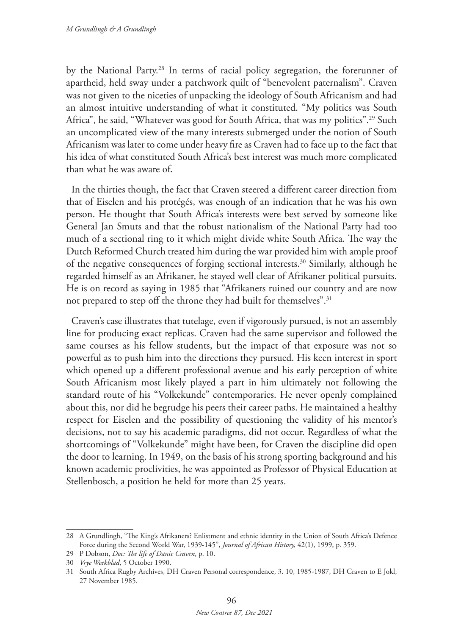by the National Party.28 In terms of racial policy segregation, the forerunner of apartheid, held sway under a patchwork quilt of "benevolent paternalism". Craven was not given to the niceties of unpacking the ideology of South Africanism and had an almost intuitive understanding of what it constituted. "My politics was South Africa", he said, "Whatever was good for South Africa, that was my politics".<sup>29</sup> Such an uncomplicated view of the many interests submerged under the notion of South Africanism was later to come under heavy fire as Craven had to face up to the fact that his idea of what constituted South Africa's best interest was much more complicated than what he was aware of.

In the thirties though, the fact that Craven steered a different career direction from that of Eiselen and his protégés, was enough of an indication that he was his own person. He thought that South Africa's interests were best served by someone like General Jan Smuts and that the robust nationalism of the National Party had too much of a sectional ring to it which might divide white South Africa. The way the Dutch Reformed Church treated him during the war provided him with ample proof of the negative consequences of forging sectional interests.30 Similarly, although he regarded himself as an Afrikaner, he stayed well clear of Afrikaner political pursuits. He is on record as saying in 1985 that "Afrikaners ruined our country and are now not prepared to step off the throne they had built for themselves".<sup>31</sup>

Craven's case illustrates that tutelage, even if vigorously pursued, is not an assembly line for producing exact replicas. Craven had the same supervisor and followed the same courses as his fellow students, but the impact of that exposure was not so powerful as to push him into the directions they pursued. His keen interest in sport which opened up a different professional avenue and his early perception of white South Africanism most likely played a part in him ultimately not following the standard route of his "Volkekunde" contemporaries. He never openly complained about this, nor did he begrudge his peers their career paths. He maintained a healthy respect for Eiselen and the possibility of questioning the validity of his mentor's decisions, not to say his academic paradigms, did not occur. Regardless of what the shortcomings of "Volkekunde" might have been, for Craven the discipline did open the door to learning. In 1949, on the basis of his strong sporting background and his known academic proclivities, he was appointed as Professor of Physical Education at Stellenbosch, a position he held for more than 25 years.

<sup>28</sup> A Grundlingh, "The King's Afrikaners? Enlistment and ethnic identity in the Union of South Africa's Defence Force during the Second World War, 1939-145", *Journal of African History,* 42(1), 1999, p. 359.

<sup>29</sup> P Dobson, *Doc: The life of Danie Craven*, p. 10.

<sup>30</sup> *Vrye Weekblad*, 5 October 1990.

<sup>31</sup> South Africa Rugby Archives, DH Craven Personal correspondence, 3. 10, 1985-1987, DH Craven to E Jokl, 27 November 1985.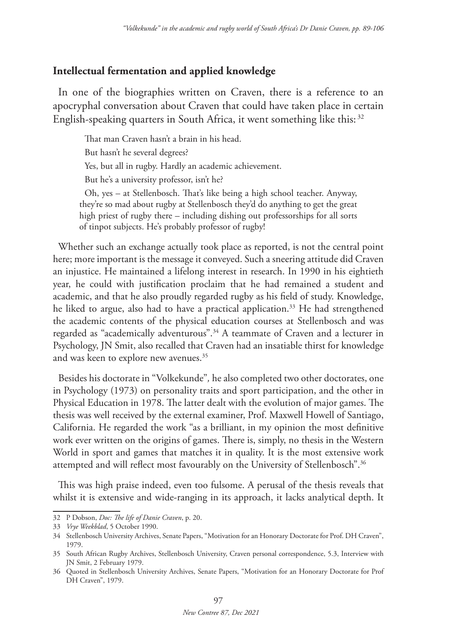#### **Intellectual fermentation and applied knowledge**

In one of the biographies written on Craven, there is a reference to an apocryphal conversation about Craven that could have taken place in certain English-speaking quarters in South Africa, it went something like this: <sup>32</sup>

That man Craven hasn't a brain in his head. But hasn't he several degrees? Yes, but all in rugby. Hardly an academic achievement. But he's a university professor, isn't he? Oh, yes – at Stellenbosch. That's like being a high school teacher. Anyway, they're so mad about rugby at Stellenbosch they'd do anything to get the great high priest of rugby there – including dishing out professorships for all sorts of tinpot subjects. He's probably professor of rugby!

Whether such an exchange actually took place as reported, is not the central point here; more important is the message it conveyed. Such a sneering attitude did Craven an injustice. He maintained a lifelong interest in research. In 1990 in his eightieth year, he could with justification proclaim that he had remained a student and academic, and that he also proudly regarded rugby as his field of study. Knowledge, he liked to argue, also had to have a practical application.<sup>33</sup> He had strengthened the academic contents of the physical education courses at Stellenbosch and was regarded as "academically adventurous".34 A teammate of Craven and a lecturer in Psychology, JN Smit, also recalled that Craven had an insatiable thirst for knowledge and was keen to explore new avenues.<sup>35</sup>

Besides his doctorate in "Volkekunde"*,* he also completed two other doctorates, one in Psychology (1973) on personality traits and sport participation, and the other in Physical Education in 1978. The latter dealt with the evolution of major games. The thesis was well received by the external examiner, Prof. Maxwell Howell of Santiago, California. He regarded the work "as a brilliant, in my opinion the most definitive work ever written on the origins of games. There is, simply, no thesis in the Western World in sport and games that matches it in quality. It is the most extensive work attempted and will reflect most favourably on the University of Stellenbosch".<sup>36</sup>

This was high praise indeed, even too fulsome. A perusal of the thesis reveals that whilst it is extensive and wide-ranging in its approach, it lacks analytical depth. It

<sup>32</sup> P Dobson, *Doc: The life of Danie Craven*, p. 20.

<sup>33</sup> *Vrye Weekblad*, 5 October 1990.

<sup>34</sup> Stellenbosch University Archives, Senate Papers, "Motivation for an Honorary Doctorate for Prof. DH Craven", 1979.

<sup>35</sup> South African Rugby Archives, Stellenbosch University, Craven personal correspondence, 5.3, Interview with JN Smit, 2 February 1979.

<sup>36</sup> Quoted in Stellenbosch University Archives, Senate Papers, "Motivation for an Honorary Doctorate for Prof DH Craven", 1979.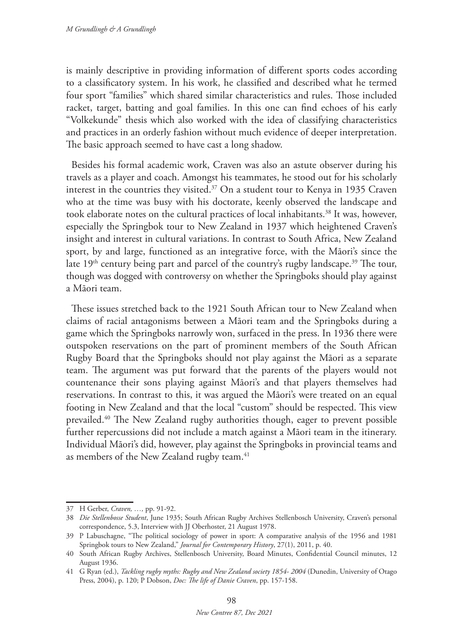is mainly descriptive in providing information of different sports codes according to a classificatory system. In his work, he classified and described what he termed four sport "families" which shared similar characteristics and rules. Those included racket, target, batting and goal families. In this one can find echoes of his early "Volkekunde" thesis which also worked with the idea of classifying characteristics and practices in an orderly fashion without much evidence of deeper interpretation. The basic approach seemed to have cast a long shadow.

Besides his formal academic work, Craven was also an astute observer during his travels as a player and coach. Amongst his teammates, he stood out for his scholarly interest in the countries they visited.<sup>37</sup> On a student tour to Kenya in 1935 Craven who at the time was busy with his doctorate, keenly observed the landscape and took elaborate notes on the cultural practices of local inhabitants.<sup>38</sup> It was, however, especially the Springbok tour to New Zealand in 1937 which heightened Craven's insight and interest in cultural variations. In contrast to South Africa, New Zealand sport, by and large, functioned as an integrative force, with the Māori's since the late  $19<sup>th</sup>$  century being part and parcel of the country's rugby landscape.<sup>39</sup> The tour, though was dogged with controversy on whether the Springboks should play against a Māori team.

These issues stretched back to the 1921 South African tour to New Zealand when claims of racial antagonisms between a Māori team and the Springboks during a game which the Springboks narrowly won, surfaced in the press. In 1936 there were outspoken reservations on the part of prominent members of the South African Rugby Board that the Springboks should not play against the Māori as a separate team. The argument was put forward that the parents of the players would not countenance their sons playing against Māori's and that players themselves had reservations. In contrast to this, it was argued the Māori's were treated on an equal footing in New Zealand and that the local "custom" should be respected. This view prevailed.40 The New Zealand rugby authorities though, eager to prevent possible further repercussions did not include a match against a Māori team in the itinerary. Individual Māori's did, however, play against the Springboks in provincial teams and as members of the New Zealand rugby team.<sup>41</sup>

<sup>37</sup> H Gerber, *Craven, …,* pp. 91-92.

<sup>38</sup> *Die Stellenbosse Student*, June 1935; South African Rugby Archives Stellenbosch University, Craven's personal correspondence, 5.3, Interview with JJ Oberhoster, 21 August 1978.

<sup>39</sup> P Labuschagne, "The political sociology of power in sport: A comparative analysis of the 1956 and 1981 Springbok tours to New Zealand," *Journal for Contemporary History*, 27(1), 2011, p. 40.

<sup>40</sup> South African Rugby Archives, Stellenbosch University, Board Minutes, Confidential Council minutes, 12 August 1936.

<sup>41</sup> G Ryan (ed.), *Tackling rugby myths: Rugby and New Zealand society 1854- 2004* (Dunedin, University of Otago Press, 2004), p. 120; P Dobson, *Doc: The life of Danie Craven*, pp. 157-158.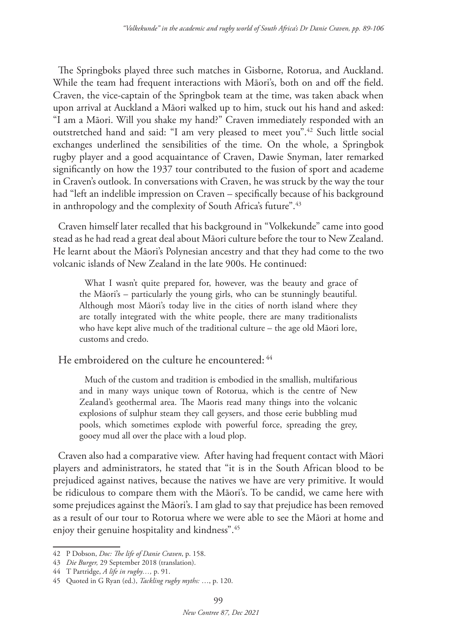The Springboks played three such matches in Gisborne, Rotorua, and Auckland. While the team had frequent interactions with Māori's, both on and off the field. Craven, the vice-captain of the Springbok team at the time, was taken aback when upon arrival at Auckland a Māori walked up to him, stuck out his hand and asked: "I am a Māori. Will you shake my hand?" Craven immediately responded with an outstretched hand and said: "I am very pleased to meet you".42 Such little social exchanges underlined the sensibilities of the time. On the whole, a Springbok rugby player and a good acquaintance of Craven, Dawie Snyman, later remarked significantly on how the 1937 tour contributed to the fusion of sport and academe in Craven's outlook. In conversations with Craven, he was struck by the way the tour had "left an indelible impression on Craven – specifically because of his background in anthropology and the complexity of South Africa's future".<sup>43</sup>

Craven himself later recalled that his background in "Volkekunde" came into good stead as he had read a great deal about Māori culture before the tour to New Zealand. He learnt about the Māori's Polynesian ancestry and that they had come to the two volcanic islands of New Zealand in the late 900s. He continued:

What I wasn't quite prepared for, however, was the beauty and grace of the Māori's – particularly the young girls, who can be stunningly beautiful. Although most Māori's today live in the cities of north island where they are totally integrated with the white people, there are many traditionalists who have kept alive much of the traditional culture – the age old Māori lore, customs and credo.

He embroidered on the culture he encountered:  $44$ 

Much of the custom and tradition is embodied in the smallish, multifarious and in many ways unique town of Rotorua, which is the centre of New Zealand's geothermal area. The Maoris read many things into the volcanic explosions of sulphur steam they call geysers, and those eerie bubbling mud pools, which sometimes explode with powerful force, spreading the grey, gooey mud all over the place with a loud plop.

Craven also had a comparative view. After having had frequent contact with Māori players and administrators, he stated that "it is in the South African blood to be prejudiced against natives, because the natives we have are very primitive. It would be ridiculous to compare them with the Māori's. To be candid, we came here with some prejudices against the Māori's. I am glad to say that prejudice has been removed as a result of our tour to Rotorua where we were able to see the Māori at home and enjoy their genuine hospitality and kindness".45

<sup>42</sup> P Dobson, *Doc: The life of Danie Craven*, p. 158.

<sup>43</sup> *Die Burger,* 29 September 2018 (translation).

<sup>44</sup> T Partridge, *A life in rugby…,* p. 91.

<sup>45</sup> Quoted in G Ryan (ed.), *Tackling rugby myths:* …, p. 120.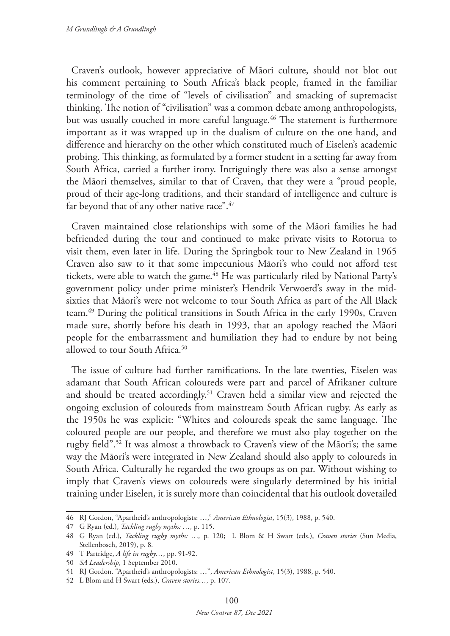Craven's outlook, however appreciative of Māori culture, should not blot out his comment pertaining to South Africa's black people, framed in the familiar terminology of the time of "levels of civilisation" and smacking of supremacist thinking. The notion of "civilisation" was a common debate among anthropologists, but was usually couched in more careful language.<sup>46</sup> The statement is furthermore important as it was wrapped up in the dualism of culture on the one hand, and difference and hierarchy on the other which constituted much of Eiselen's academic probing. This thinking, as formulated by a former student in a setting far away from South Africa, carried a further irony. Intriguingly there was also a sense amongst the Māori themselves, similar to that of Craven, that they were a "proud people, proud of their age-long traditions, and their standard of intelligence and culture is far beyond that of any other native race".<sup>47</sup>

Craven maintained close relationships with some of the Māori families he had befriended during the tour and continued to make private visits to Rotorua to visit them, even later in life. During the Springbok tour to New Zealand in 1965 Craven also saw to it that some impecunious Māori's who could not afford test tickets, were able to watch the game.<sup>48</sup> He was particularly riled by National Party's government policy under prime minister's Hendrik Verwoerd's sway in the midsixties that Māori's were not welcome to tour South Africa as part of the All Black team.49 During the political transitions in South Africa in the early 1990s, Craven made sure, shortly before his death in 1993, that an apology reached the Māori people for the embarrassment and humiliation they had to endure by not being allowed to tour South Africa<sup>50</sup>

The issue of culture had further ramifications. In the late twenties, Eiselen was adamant that South African coloureds were part and parcel of Afrikaner culture and should be treated accordingly.<sup>51</sup> Craven held a similar view and rejected the ongoing exclusion of coloureds from mainstream South African rugby. As early as the 1950s he was explicit: "Whites and coloureds speak the same language. The coloured people are our people, and therefore we must also play together on the rugby field".52 It was almost a throwback to Craven's view of the Māori's; the same way the Māori's were integrated in New Zealand should also apply to coloureds in South Africa. Culturally he regarded the two groups as on par. Without wishing to imply that Craven's views on coloureds were singularly determined by his initial training under Eiselen, it is surely more than coincidental that his outlook dovetailed

<sup>46</sup> RJ Gordon, "Apartheid's anthropologists: …," *American Ethnologist*, 15(3), 1988, p. 540.

<sup>47</sup> G Ryan (ed.), *Tackling rugby myths: …,* p. 115.

<sup>48</sup> G Ryan (ed.), *Tackling rugby myths:* …*,* p. 120; L Blom & H Swart (eds.), *Craven stories* (Sun Media, Stellenbosch, 2019), p. 8.

<sup>49</sup> T Partridge, *A life in rugby…*, pp. 91-92.

<sup>50</sup> *SA Leadership*, 1 September 2010.

<sup>51</sup> RJ Gordon. "Apartheid's anthropologists: …", *American Ethnologist*, 15(3), 1988, p. 540.

<sup>52</sup> L Blom and H Swart (eds.), *Craven stories…,* p. 107.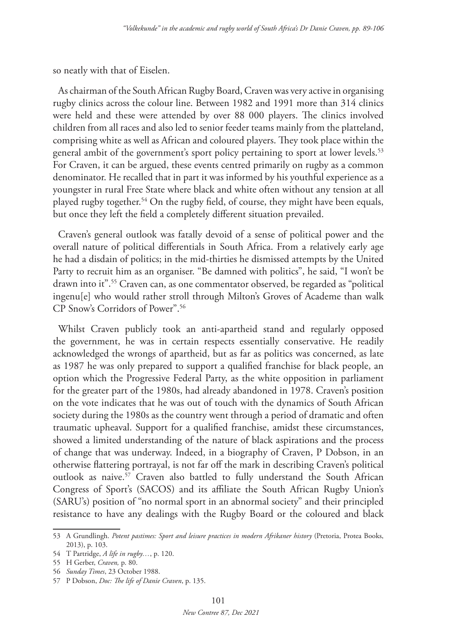so neatly with that of Eiselen.

As chairman of the South African Rugby Board, Craven was very active in organising rugby clinics across the colour line. Between 1982 and 1991 more than 314 clinics were held and these were attended by over 88 000 players. The clinics involved children from all races and also led to senior feeder teams mainly from the platteland, comprising white as well as African and coloured players. They took place within the general ambit of the government's sport policy pertaining to sport at lower levels.<sup>53</sup> For Craven, it can be argued, these events centred primarily on rugby as a common denominator. He recalled that in part it was informed by his youthful experience as a youngster in rural Free State where black and white often without any tension at all played rugby together.<sup>54</sup> On the rugby field, of course, they might have been equals, but once they left the field a completely different situation prevailed.

Craven's general outlook was fatally devoid of a sense of political power and the overall nature of political differentials in South Africa. From a relatively early age he had a disdain of politics; in the mid-thirties he dismissed attempts by the United Party to recruit him as an organiser. "Be damned with politics", he said, "I won't be drawn into it".55 Craven can, as one commentator observed, be regarded as "political ingenu[e] who would rather stroll through Milton's Groves of Academe than walk CP Snow's Corridors of Power".56

Whilst Craven publicly took an anti-apartheid stand and regularly opposed the government, he was in certain respects essentially conservative. He readily acknowledged the wrongs of apartheid, but as far as politics was concerned, as late as 1987 he was only prepared to support a qualified franchise for black people, an option which the Progressive Federal Party, as the white opposition in parliament for the greater part of the 1980s, had already abandoned in 1978. Craven's position on the vote indicates that he was out of touch with the dynamics of South African society during the 1980s as the country went through a period of dramatic and often traumatic upheaval. Support for a qualified franchise, amidst these circumstances, showed a limited understanding of the nature of black aspirations and the process of change that was underway. Indeed, in a biography of Craven, P Dobson, in an otherwise flattering portrayal, is not far off the mark in describing Craven's political outlook as naive.57 Craven also battled to fully understand the South African Congress of Sport's (SACOS) and its affiliate the South African Rugby Union's (SARU's) position of "no normal sport in an abnormal society" and their principled resistance to have any dealings with the Rugby Board or the coloured and black

<sup>53</sup> A Grundlingh. *Potent pastimes: Sport and leisure practices in modern Afrikaner history* (Pretoria, Protea Books, 2013), p. 103.

<sup>54</sup> T Partridge, *A life in rugby…*, p. 120.

<sup>55</sup> H Gerber, *Craven,* p. 80.

<sup>56</sup> *Sunday Times*, 23 October 1988.

<sup>57</sup> P Dobson, *Doc: The life of Danie Craven*, p. 135.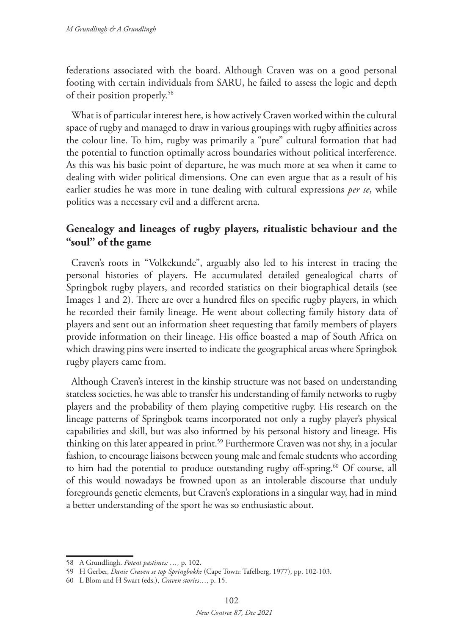federations associated with the board. Although Craven was on a good personal footing with certain individuals from SARU, he failed to assess the logic and depth of their position properly.58

What is of particular interest here, is how actively Craven worked within the cultural space of rugby and managed to draw in various groupings with rugby affinities across the colour line. To him, rugby was primarily a "pure" cultural formation that had the potential to function optimally across boundaries without political interference. As this was his basic point of departure, he was much more at sea when it came to dealing with wider political dimensions. One can even argue that as a result of his earlier studies he was more in tune dealing with cultural expressions *per se*, while politics was a necessary evil and a different arena.

# **Genealogy and lineages of rugby players, ritualistic behaviour and the "soul" of the game**

Craven's roots in "Volkekunde", arguably also led to his interest in tracing the personal histories of players. He accumulated detailed genealogical charts of Springbok rugby players, and recorded statistics on their biographical details (see Images 1 and 2). There are over a hundred files on specific rugby players, in which he recorded their family lineage. He went about collecting family history data of players and sent out an information sheet requesting that family members of players provide information on their lineage. His office boasted a map of South Africa on which drawing pins were inserted to indicate the geographical areas where Springbok rugby players came from.

Although Craven's interest in the kinship structure was not based on understanding stateless societies, he was able to transfer his understanding of family networks to rugby players and the probability of them playing competitive rugby. His research on the lineage patterns of Springbok teams incorporated not only a rugby player's physical capabilities and skill, but was also informed by his personal history and lineage. His thinking on this later appeared in print.<sup>59</sup> Furthermore Craven was not shy, in a jocular fashion, to encourage liaisons between young male and female students who according to him had the potential to produce outstanding rugby off-spring.<sup>60</sup> Of course, all of this would nowadays be frowned upon as an intolerable discourse that unduly foregrounds genetic elements, but Craven's explorations in a singular way, had in mind a better understanding of the sport he was so enthusiastic about.

<sup>58</sup> A Grundlingh. *Potent pastimes: …,* p. 102.

<sup>59</sup> H Gerber, *Danie Craven se top Springbokke* (Cape Town: Tafelberg, 1977), pp. 102-103.

<sup>60</sup> L Blom and H Swart (eds.), *Craven stories*…, p. 15.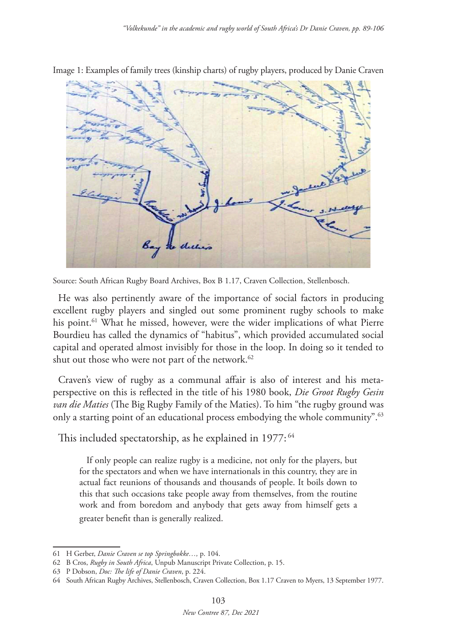

Image 1: Examples of family trees (kinship charts) of rugby players, produced by Danie Craven

Source: South African Rugby Board Archives, Box B 1.17, Craven Collection, Stellenbosch.

He was also pertinently aware of the importance of social factors in producing excellent rugby players and singled out some prominent rugby schools to make his point.<sup>61</sup> What he missed, however, were the wider implications of what Pierre Bourdieu has called the dynamics of "habitus", which provided accumulated social capital and operated almost invisibly for those in the loop. In doing so it tended to shut out those who were not part of the network.<sup>62</sup>

Craven's view of rugby as a communal affair is also of interest and his metaperspective on this is reflected in the title of his 1980 book, *Die Groot Rugby Gesin van die Maties* (The Big Rugby Family of the Maties). To him "the rugby ground was only a starting point of an educational process embodying the whole community".<sup>63</sup>

This included spectatorship, as he explained in 1977:<sup>64</sup>

If only people can realize rugby is a medicine, not only for the players, but for the spectators and when we have internationals in this country, they are in actual fact reunions of thousands and thousands of people. It boils down to this that such occasions take people away from themselves, from the routine work and from boredom and anybody that gets away from himself gets a greater benefit than is generally realized.

<sup>61</sup> H Gerber, *Danie Craven se top Springbokke…,* p. 104.

<sup>62</sup> B Cros, *Rugby in South Africa*, Unpub Manuscript Private Collection, p. 15.

<sup>63</sup> P Dobson, *Doc: The life of Danie Craven*, p. 224.

<sup>64</sup> South African Rugby Archives, Stellenbosch, Craven Collection, Box 1.17 Craven to Myers, 13 September 1977.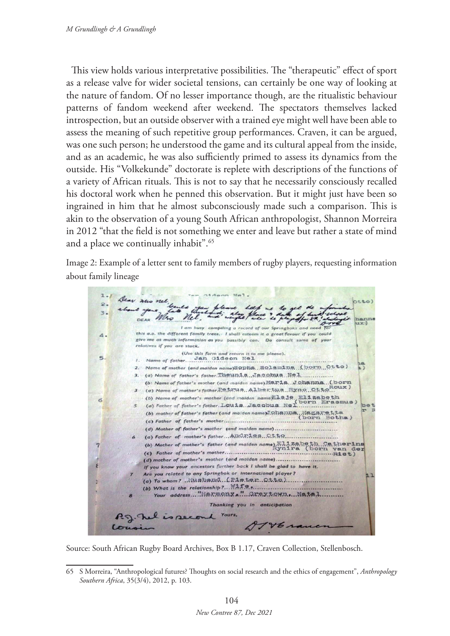This view holds various interpretative possibilities. The "therapeutic" effect of sport as a release valve for wider societal tensions, can certainly be one way of looking at the nature of fandom. Of no lesser importance though, are the ritualistic behaviour patterns of fandom weekend after weekend. The spectators themselves lacked introspection, but an outside observer with a trained eye might well have been able to assess the meaning of such repetitive group performances. Craven, it can be argued, was one such person; he understood the game and its cultural appeal from the inside, and as an academic, he was also sufficiently primed to assess its dynamics from the outside. His "Volkekunde" doctorate is replete with descriptions of the functions of a variety of African rituals. This is not to say that he necessarily consciously recalled his doctoral work when he penned this observation. But it might just have been so ingrained in him that he almost subconsciously made such a comparison. This is akin to the observation of a young South African anthropologist, Shannon Morreira in 2012 "that the field is not something we enter and leave but rather a state of mind and a place we continually inhabit".65

Image 2: Example of a letter sent to family members of rugby players, requesting information about family lineage



Source: South African Rugby Board Archives, Box B 1.17, Craven Collection, Stellenbosch.

<sup>65</sup> S Morreira, "Anthropological futures? Thoughts on social research and the ethics of engagement", *Anthropology Southern Africa*, 35(3/4), 2012, p. 103.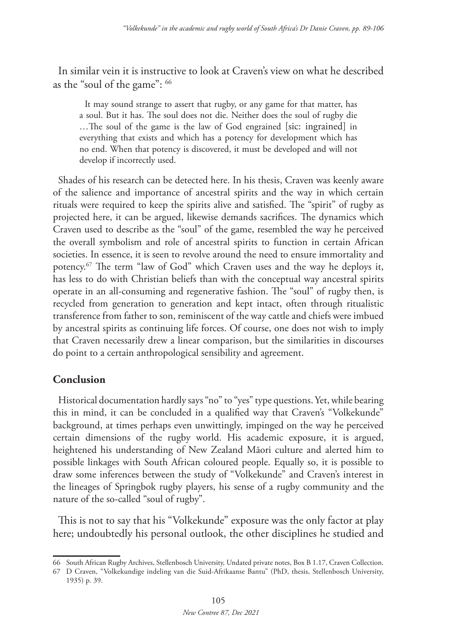In similar vein it is instructive to look at Craven's view on what he described as the "soul of the game": 66

It may sound strange to assert that rugby, or any game for that matter, has a soul. But it has. The soul does not die. Neither does the soul of rugby die …The soul of the game is the law of God engrained [sic: ingrained] in everything that exists and which has a potency for development which has no end. When that potency is discovered, it must be developed and will not develop if incorrectly used.

Shades of his research can be detected here. In his thesis, Craven was keenly aware of the salience and importance of ancestral spirits and the way in which certain rituals were required to keep the spirits alive and satisfied. The "spirit" of rugby as projected here, it can be argued, likewise demands sacrifices. The dynamics which Craven used to describe as the "soul" of the game, resembled the way he perceived the overall symbolism and role of ancestral spirits to function in certain African societies. In essence, it is seen to revolve around the need to ensure immortality and potency.67 The term "law of God" which Craven uses and the way he deploys it, has less to do with Christian beliefs than with the conceptual way ancestral spirits operate in an all-consuming and regenerative fashion. The "soul" of rugby then, is recycled from generation to generation and kept intact, often through ritualistic transference from father to son, reminiscent of the way cattle and chiefs were imbued by ancestral spirits as continuing life forces. Of course, one does not wish to imply that Craven necessarily drew a linear comparison, but the similarities in discourses do point to a certain anthropological sensibility and agreement.

## **Conclusion**

Historical documentation hardly says "no" to "yes" type questions. Yet, while bearing this in mind, it can be concluded in a qualified way that Craven's "Volkekunde" background, at times perhaps even unwittingly, impinged on the way he perceived certain dimensions of the rugby world. His academic exposure, it is argued, heightened his understanding of New Zealand Māori culture and alerted him to possible linkages with South African coloured people. Equally so, it is possible to draw some inferences between the study of "Volkekunde" and Craven's interest in the lineages of Springbok rugby players, his sense of a rugby community and the nature of the so-called "soul of rugby".

This is not to say that his "Volkekunde" exposure was the only factor at play here; undoubtedly his personal outlook, the other disciplines he studied and

<sup>66</sup> South African Rugby Archives, Stellenbosch University, Undated private notes, Box B 1.17, Craven Collection.

<sup>67</sup> D Craven, "Volkekundige indeling van die Suid-Afrikaanse Bantu" (PhD, thesis, Stellenbosch University, 1935) p. 39.